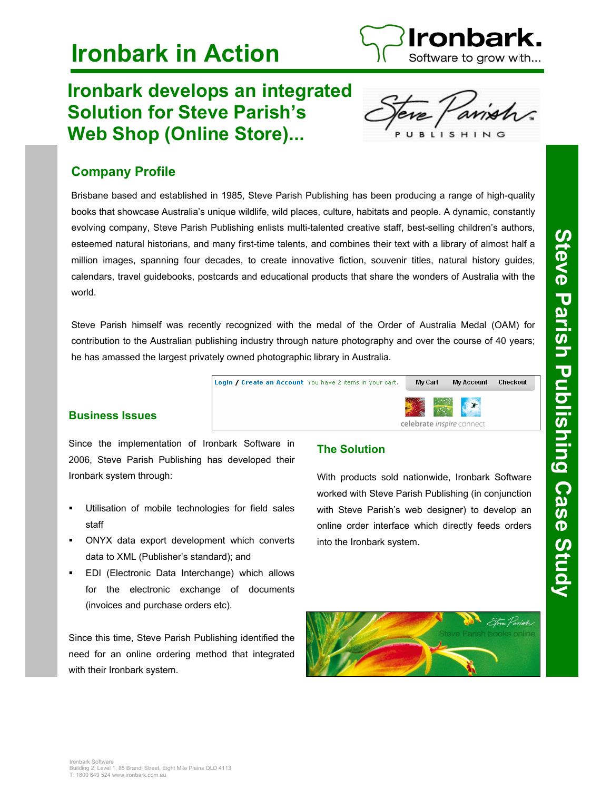

# **Ironbark in Action**

# **Ironbark develops an integrated Solution for Steve Parish's Web Shop (Online Store)...**



# **Company Profile**

Brisbane based and established in 1985, Steve Parish Publishing has been producing a range of high-quality books that showcase Australia's unique wildlife, wild places, culture, habitats and people. A dynamic, constantly evolving company, Steve Parish Publishing enlists multi-talented creative staff, best-selling children's authors, esteemed natural historians, and many first-time talents, and combines their text with a library of almost half a million images, spanning four decades, to create innovative fiction, souvenir titles, natural history guides, calendars, travel guidebooks, postcards and educational products that share the wonders of Australia with the world.

Steve Parish himself was recently recognized with the medal of the Order of Australia Medal (OAM) for contribution to the Australian publishing industry through nature photography and over the course of 40 years; he has amassed the largest privately owned photographic library in Australia.



## **Business Issues**

Since the implementation of Ironbark Software in 2006, Steve Parish Publishing has developed their Ironbark system through:

- Utilisation of mobile technologies for field sales staff
- ONYX data export development which converts data to XML (Publisher's standard); and
- EDI (Electronic Data Interchange) which allows for the electronic exchange of documents (invoices and purchase orders etc).

Since this time, Steve Parish Publishing identified the need for an online ordering method that integrated with their Ironbark system.

# **The Solution**

With products sold nationwide, Ironbark Software worked with Steve Parish Publishing (in conjunction with Steve Parish's web designer) to develop an online order interface which directly feeds orders into the Ironbark system.



# Steve Parish Publishing Case Study **Steve Parish Publishing Case Study**